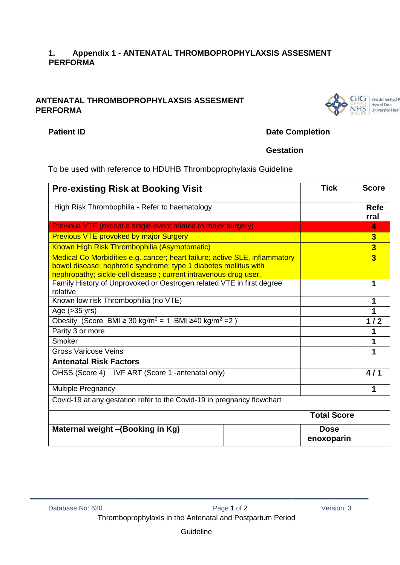## **1. Appendix 1 - ANTENATAL THROMBOPROPHYLAXSIS ASSESMENT PERFORMA**

## **ANTENATAL THROMBOPROPHYLAXSIS ASSESMENT PERFORMA**



# **Patient ID** Date Completion

## **Gestation**

To be used with reference to HDUHB Thromboprophylaxis Guideline

| <b>Pre-existing Risk at Booking Visit</b>                                                                                                                                                                           |  | <b>Tick</b>               | <b>Score</b>            |
|---------------------------------------------------------------------------------------------------------------------------------------------------------------------------------------------------------------------|--|---------------------------|-------------------------|
| High Risk Thrombophilia - Refer to haematology                                                                                                                                                                      |  |                           | <b>Refe</b><br>rral     |
| Previous VTE (except a single event related to major surgery)                                                                                                                                                       |  |                           | 4                       |
| <b>Previous VTE provoked by major Surgery</b>                                                                                                                                                                       |  |                           | $\overline{\mathbf{3}}$ |
| Known High Risk Thrombophilia (Asymptomatic)                                                                                                                                                                        |  |                           | $\overline{\mathbf{3}}$ |
| Medical Co Morbidities e.g. cancer; heart failure; active SLE, inflammatory<br>bowel disease; nephrotic syndrome; type 1 diabetes mellitus with<br>nephropathy; sickle cell disease; current intravenous drug user. |  |                           | $\overline{3}$          |
| Family History of Unprovoked or Oestrogen related VTE in first degree<br>relative                                                                                                                                   |  |                           | 1                       |
| Known low risk Thrombophilia (no VTE)                                                                                                                                                                               |  |                           | 1                       |
| Age $(>35$ yrs)                                                                                                                                                                                                     |  |                           |                         |
| Obesity (Score BMI ≥ 30 kg/m <sup>2</sup> = 1 BMI ≥40 kg/m <sup>2</sup> = 2)                                                                                                                                        |  |                           | 1/2                     |
| Parity 3 or more                                                                                                                                                                                                    |  |                           |                         |
| Smoker                                                                                                                                                                                                              |  |                           |                         |
| <b>Gross Varicose Veins</b>                                                                                                                                                                                         |  |                           | 1                       |
| <b>Antenatal Risk Factors</b>                                                                                                                                                                                       |  |                           |                         |
| OHSS (Score 4) IVF ART (Score 1 -antenatal only)                                                                                                                                                                    |  |                           | 4/1                     |
| Multiple Pregnancy                                                                                                                                                                                                  |  |                           | 1                       |
| Covid-19 at any gestation refer to the Covid-19 in pregnancy flowchart                                                                                                                                              |  |                           |                         |
|                                                                                                                                                                                                                     |  | <b>Total Score</b>        |                         |
| Maternal weight - (Booking in Kg)                                                                                                                                                                                   |  | <b>Dose</b><br>enoxoparin |                         |

**Guideline**